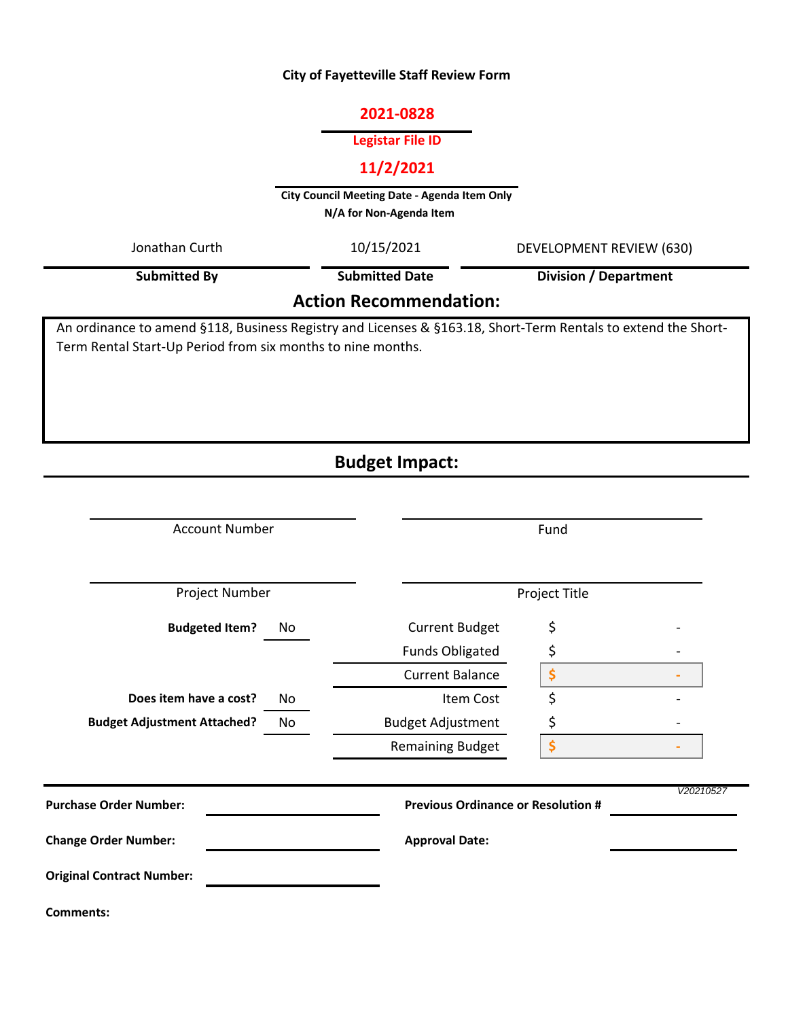# **City of Fayetteville Staff Review Form**

### **2021-0828**

## **Legistar File ID**

# **11/2/2021**

**City Council Meeting Date - Agenda Item Only N/A for Non-Agenda Item** 

| Jonathan Curth                                                                                                | 10/15/2021            | DEVELOPMENT REVIEW (630)<br><b>Division / Department</b> |  |  |  |  |
|---------------------------------------------------------------------------------------------------------------|-----------------------|----------------------------------------------------------|--|--|--|--|
| <b>Submitted By</b>                                                                                           | <b>Submitted Date</b> |                                                          |  |  |  |  |
| <b>Action Recommendation:</b>                                                                                 |                       |                                                          |  |  |  |  |
| An ordinance to amend §118, Business Registry and Licenses & §163.18, Short-Term Rentals to extend the Short- |                       |                                                          |  |  |  |  |
| Term Rental Start-Up Period from six months to nine months.                                                   |                       |                                                          |  |  |  |  |

# **Budget Impact:**

| <b>Account Number</b>              |    | Fund                                      |    |           |
|------------------------------------|----|-------------------------------------------|----|-----------|
| Project Number                     |    | Project Title                             |    |           |
| <b>Budgeted Item?</b>              | No | <b>Current Budget</b>                     | \$ |           |
|                                    |    | <b>Funds Obligated</b>                    | \$ |           |
|                                    |    | <b>Current Balance</b>                    | \$ |           |
| Does item have a cost?             | No | Item Cost                                 | \$ |           |
| <b>Budget Adjustment Attached?</b> | No | <b>Budget Adjustment</b>                  | \$ |           |
|                                    |    | <b>Remaining Budget</b>                   | \$ |           |
| <b>Purchase Order Number:</b>      |    | <b>Previous Ordinance or Resolution #</b> |    | V20210527 |
| <b>Change Order Number:</b>        |    | <b>Approval Date:</b>                     |    |           |
| <b>Original Contract Number:</b>   |    |                                           |    |           |
| <b>Comments:</b>                   |    |                                           |    |           |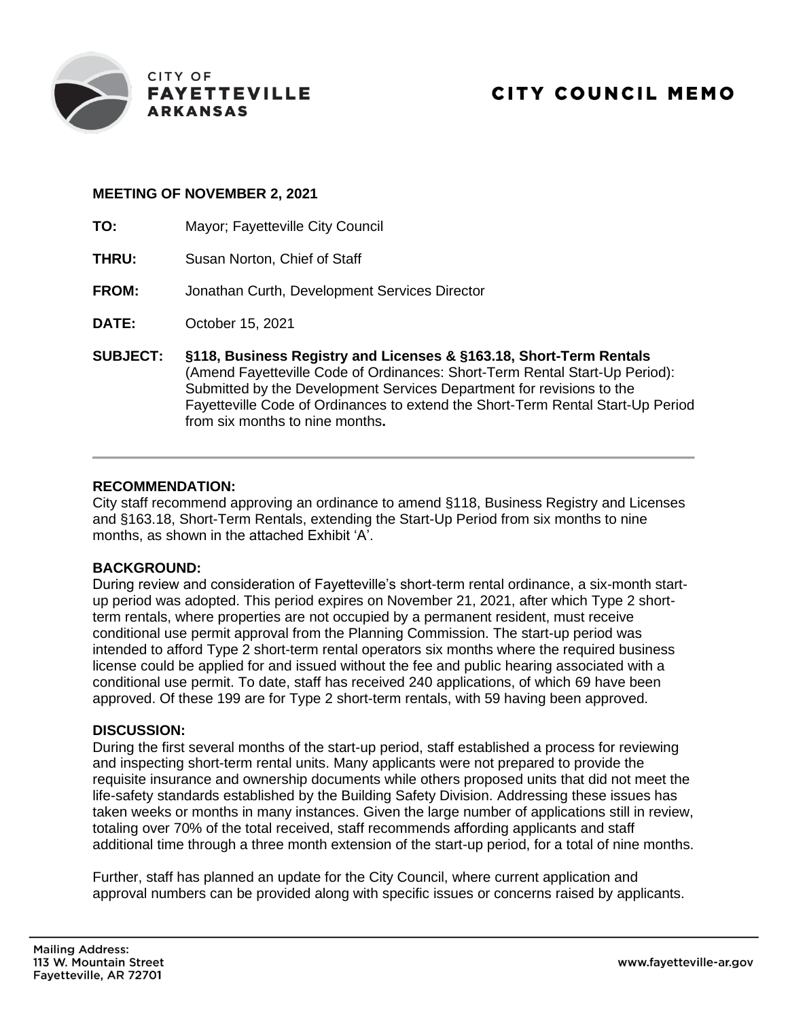

### **MEETING OF NOVEMBER 2, 2021**

- **TO:** Mayor; Fayetteville City Council
- **THRU:** Susan Norton, Chief of Staff
- **FROM:** Jonathan Curth, Development Services Director
- **DATE:** October 15, 2021
- **SUBJECT: §118, Business Registry and Licenses & §163.18, Short-Term Rentals** (Amend Fayetteville Code of Ordinances: Short-Term Rental Start-Up Period): Submitted by the Development Services Department for revisions to the Fayetteville Code of Ordinances to extend the Short-Term Rental Start-Up Period from six months to nine months**.**

### **RECOMMENDATION:**

City staff recommend approving an ordinance to amend §118, Business Registry and Licenses and §163.18, Short-Term Rentals, extending the Start-Up Period from six months to nine months, as shown in the attached Exhibit 'A'.

#### **BACKGROUND:**

During review and consideration of Fayetteville's short-term rental ordinance, a six-month startup period was adopted. This period expires on November 21, 2021, after which Type 2 shortterm rentals, where properties are not occupied by a permanent resident, must receive conditional use permit approval from the Planning Commission. The start-up period was intended to afford Type 2 short-term rental operators six months where the required business license could be applied for and issued without the fee and public hearing associated with a conditional use permit. To date, staff has received 240 applications, of which 69 have been approved. Of these 199 are for Type 2 short-term rentals, with 59 having been approved.

#### **DISCUSSION:**

During the first several months of the start-up period, staff established a process for reviewing and inspecting short-term rental units. Many applicants were not prepared to provide the requisite insurance and ownership documents while others proposed units that did not meet the life-safety standards established by the Building Safety Division. Addressing these issues has taken weeks or months in many instances. Given the large number of applications still in review, totaling over 70% of the total received, staff recommends affording applicants and staff additional time through a three month extension of the start-up period, for a total of nine months.

Further, staff has planned an update for the City Council, where current application and approval numbers can be provided along with specific issues or concerns raised by applicants.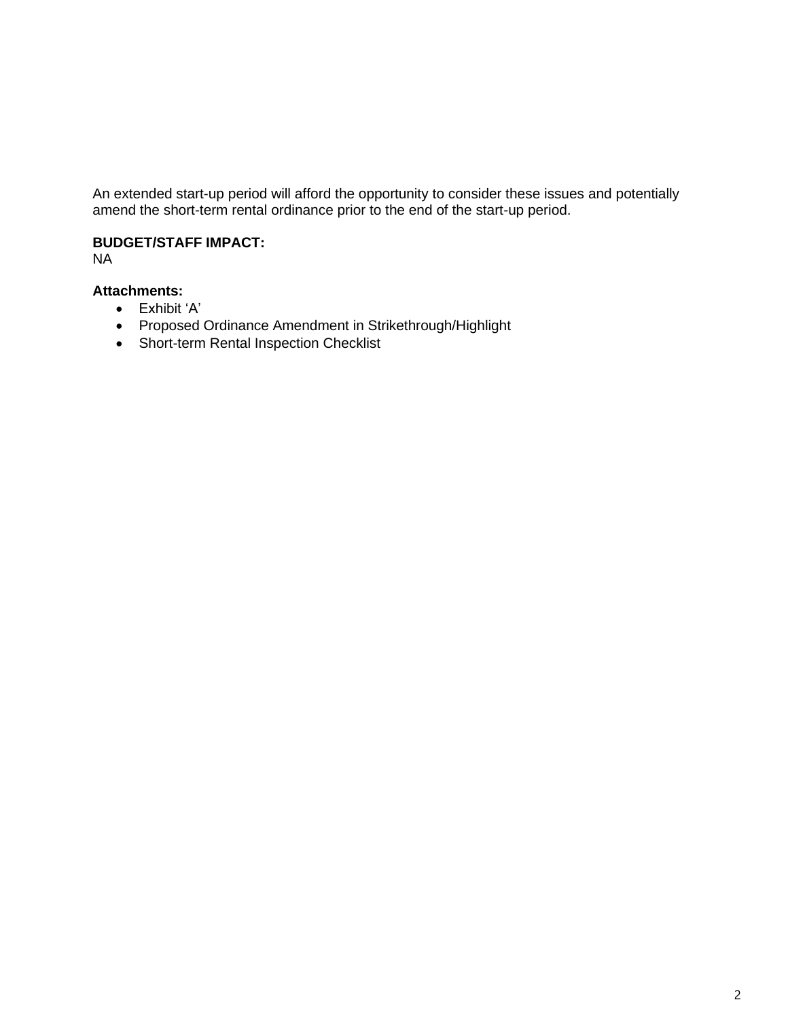An extended start-up period will afford the opportunity to consider these issues and potentially amend the short-term rental ordinance prior to the end of the start-up period.

## **BUDGET/STAFF IMPACT:**

NA

## **Attachments:**

- Exhibit 'A'
- Proposed Ordinance Amendment in Strikethrough/Highlight
- Short-term Rental Inspection Checklist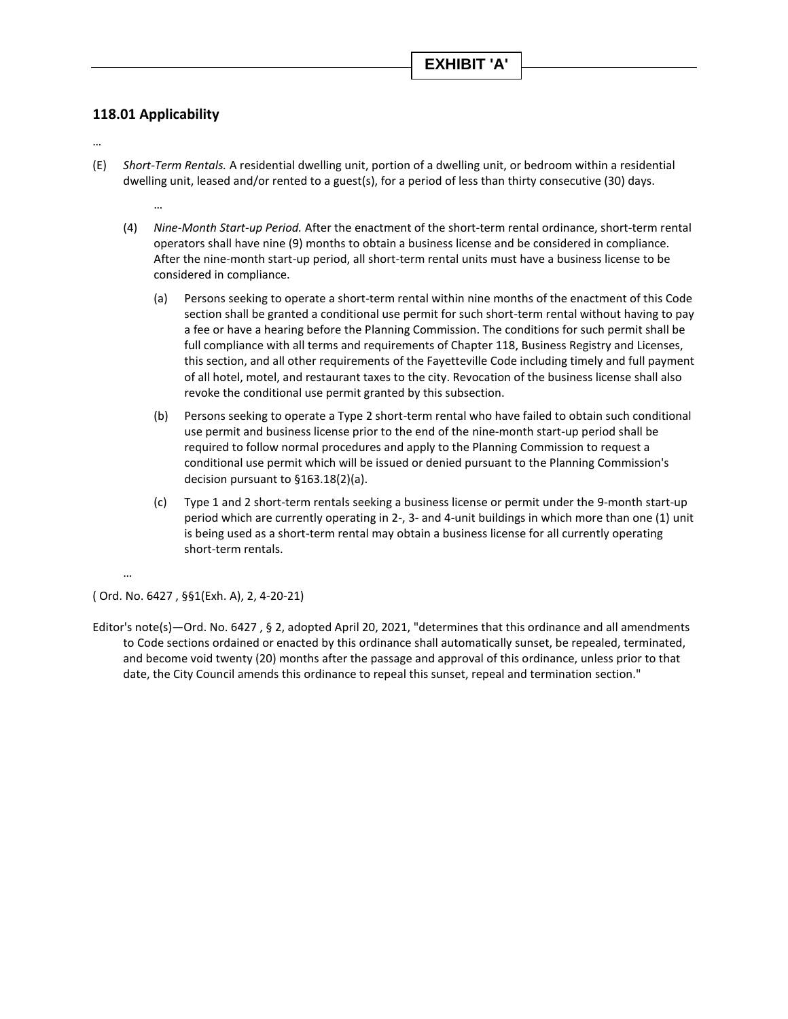### **118.01 Applicability**

…

…

- (E) *Short-Term Rentals.* A residential dwelling unit, portion of a dwelling unit, or bedroom within a residential dwelling unit, leased and/or rented to a guest(s), for a period of less than thirty consecutive (30) days.
	- (4) *Nine-Month Start-up Period.* After the enactment of the short-term rental ordinance, short-term rental operators shall have nine (9) months to obtain a business license and be considered in compliance. After the nine-month start-up period, all short-term rental units must have a business license to be considered in compliance.
		- (a) Persons seeking to operate a short-term rental within nine months of the enactment of this Code section shall be granted a conditional use permit for such short-term rental without having to pay a fee or have a hearing before the Planning Commission. The conditions for such permit shall be full compliance with all terms and requirements of Chapter 118, Business Registry and Licenses, this section, and all other requirements of the Fayetteville Code including timely and full payment of all hotel, motel, and restaurant taxes to the city. Revocation of the business license shall also revoke the conditional use permit granted by this subsection.
		- (b) Persons seeking to operate a Type 2 short-term rental who have failed to obtain such conditional use permit and business license prior to the end of the nine-month start-up period shall be required to follow normal procedures and apply to the Planning Commission to request a conditional use permit which will be issued or denied pursuant to the Planning Commission's decision pursuant to §163.18(2)(a).
		- (c) Type 1 and 2 short-term rentals seeking a business license or permit under the 9-month start-up period which are currently operating in 2-, 3- and 4-unit buildings in which more than one (1) unit is being used as a short-term rental may obtain a business license for all currently operating short-term rentals.

( Ord. No. 6427 , §§1(Exh. A), 2, 4-20-21)

…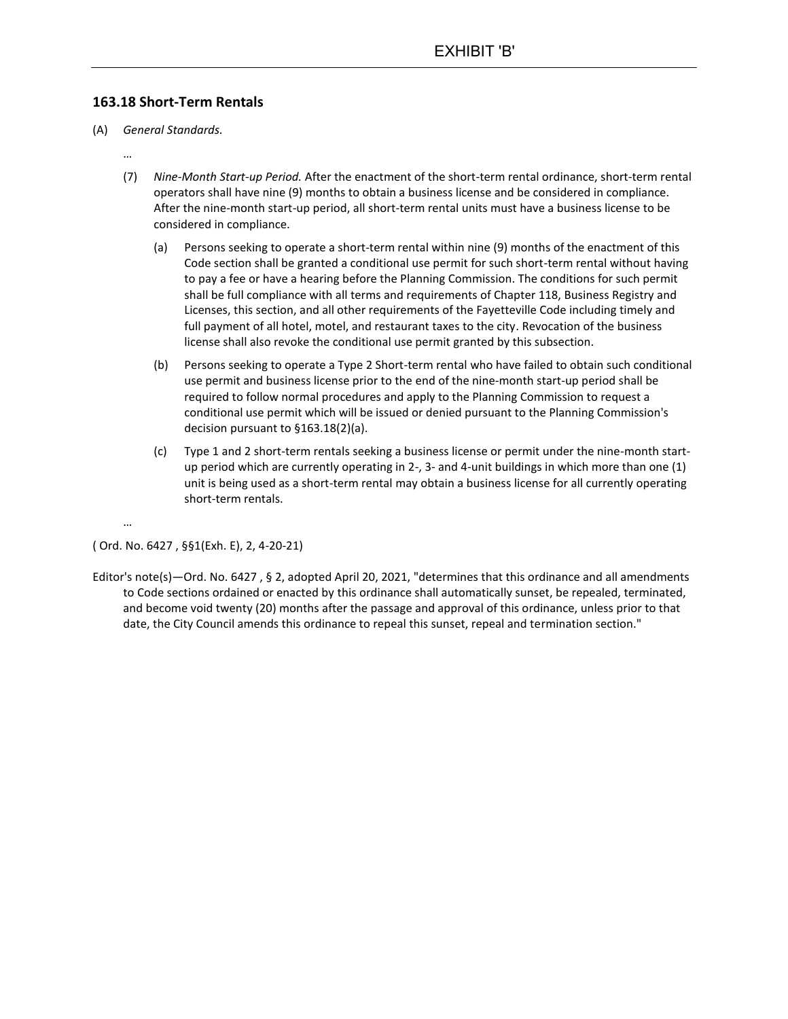#### **163.18 Short-Term Rentals**

- (A) *General Standards.*
	- …
	- (7) *Nine-Month Start-up Period.* After the enactment of the short-term rental ordinance, short-term rental operators shall have nine (9) months to obtain a business license and be considered in compliance. After the nine-month start-up period, all short-term rental units must have a business license to be considered in compliance.
		- (a) Persons seeking to operate a short-term rental within nine (9) months of the enactment of this Code section shall be granted a conditional use permit for such short-term rental without having to pay a fee or have a hearing before the Planning Commission. The conditions for such permit shall be full compliance with all terms and requirements of Chapter 118, Business Registry and Licenses, this section, and all other requirements of the Fayetteville Code including timely and full payment of all hotel, motel, and restaurant taxes to the city. Revocation of the business license shall also revoke the conditional use permit granted by this subsection.
		- (b) Persons seeking to operate a Type 2 Short-term rental who have failed to obtain such conditional use permit and business license prior to the end of the nine-month start-up period shall be required to follow normal procedures and apply to the Planning Commission to request a conditional use permit which will be issued or denied pursuant to the Planning Commission's decision pursuant to §163.18(2)(a).
		- (c) Type 1 and 2 short-term rentals seeking a business license or permit under the nine-month startup period which are currently operating in 2-, 3- and 4-unit buildings in which more than one (1) unit is being used as a short-term rental may obtain a business license for all currently operating short-term rentals.

#### ( Ord. No. 6427 , §§1(Exh. E), 2, 4-20-21)

…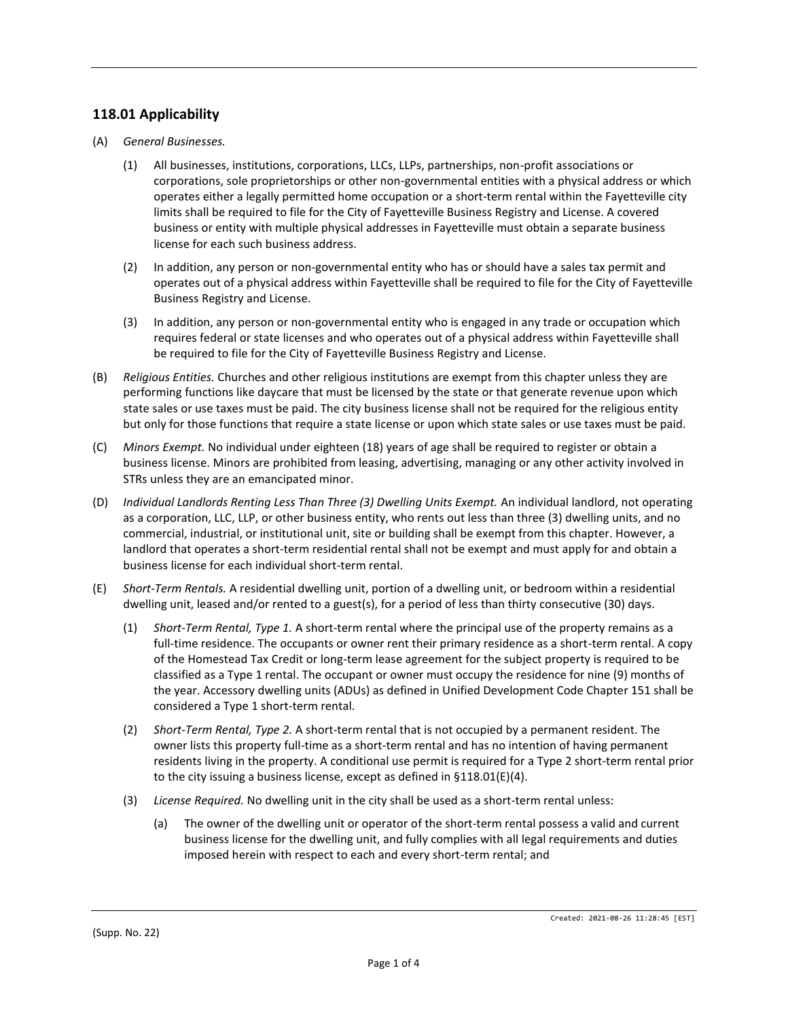### **118.01 Applicability**

- (A) *General Businesses.*
	- (1) All businesses, institutions, corporations, LLCs, LLPs, partnerships, non-profit associations or corporations, sole proprietorships or other non-governmental entities with a physical address or which operates either a legally permitted home occupation or a short-term rental within the Fayetteville city limits shall be required to file for the City of Fayetteville Business Registry and License. A covered business or entity with multiple physical addresses in Fayetteville must obtain a separate business license for each such business address.
	- (2) In addition, any person or non-governmental entity who has or should have a sales tax permit and operates out of a physical address within Fayetteville shall be required to file for the City of Fayetteville Business Registry and License.
	- (3) In addition, any person or non-governmental entity who is engaged in any trade or occupation which requires federal or state licenses and who operates out of a physical address within Fayetteville shall be required to file for the City of Fayetteville Business Registry and License.
- (B) *Religious Entities.* Churches and other religious institutions are exempt from this chapter unless they are performing functions like daycare that must be licensed by the state or that generate revenue upon which state sales or use taxes must be paid. The city business license shall not be required for the religious entity but only for those functions that require a state license or upon which state sales or use taxes must be paid.
- (C) *Minors Exempt.* No individual under eighteen (18) years of age shall be required to register or obtain a business license. Minors are prohibited from leasing, advertising, managing or any other activity involved in STRs unless they are an emancipated minor.
- (D) *Individual Landlords Renting Less Than Three (3) Dwelling Units Exempt.* An individual landlord, not operating as a corporation, LLC, LLP, or other business entity, who rents out less than three (3) dwelling units, and no commercial, industrial, or institutional unit, site or building shall be exempt from this chapter. However, a landlord that operates a short-term residential rental shall not be exempt and must apply for and obtain a business license for each individual short-term rental.
- (E) *Short-Term Rentals.* A residential dwelling unit, portion of a dwelling unit, or bedroom within a residential dwelling unit, leased and/or rented to a guest(s), for a period of less than thirty consecutive (30) days.
	- (1) *Short-Term Rental, Type 1.* A short-term rental where the principal use of the property remains as a full-time residence. The occupants or owner rent their primary residence as a short-term rental. A copy of the Homestead Tax Credit or long-term lease agreement for the subject property is required to be classified as a Type 1 rental. The occupant or owner must occupy the residence for nine (9) months of the year. Accessory dwelling units (ADUs) as defined in Unified Development Code Chapter 151 shall be considered a Type 1 short-term rental.
	- (2) *Short-Term Rental, Type 2.* A short-term rental that is not occupied by a permanent resident. The owner lists this property full-time as a short-term rental and has no intention of having permanent residents living in the property. A conditional use permit is required for a Type 2 short-term rental prior to the city issuing a business license, except as defined in §118.01(E)(4).
	- (3) *License Required.* No dwelling unit in the city shall be used as a short-term rental unless:
		- (a) The owner of the dwelling unit or operator of the short-term rental possess a valid and current business license for the dwelling unit, and fully complies with all legal requirements and duties imposed herein with respect to each and every short-term rental; and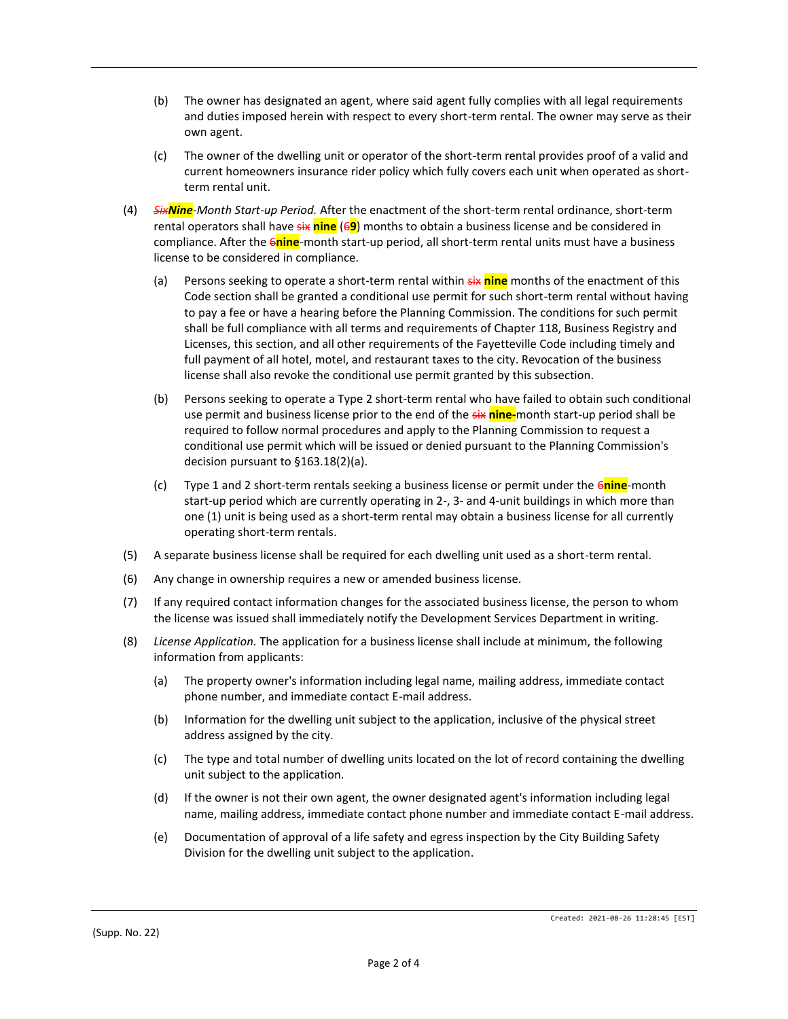- (b) The owner has designated an agent, where said agent fully complies with all legal requirements and duties imposed herein with respect to every short-term rental. The owner may serve as their own agent.
- (c) The owner of the dwelling unit or operator of the short-term rental provides proof of a valid and current homeowners insurance rider policy which fully covers each unit when operated as shortterm rental unit.
- (4) *SixNine-Month Start-up Period.* After the enactment of the short-term rental ordinance, short-term rental operators shall have six **nine** (6**9**) months to obtain a business license and be considered in compliance. After the 6**nine**-month start-up period, all short-term rental units must have a business license to be considered in compliance.
	- (a) Persons seeking to operate a short-term rental within six **nine** months of the enactment of this Code section shall be granted a conditional use permit for such short-term rental without having to pay a fee or have a hearing before the Planning Commission. The conditions for such permit shall be full compliance with all terms and requirements of Chapter 118, Business Registry and Licenses, this section, and all other requirements of the Fayetteville Code including timely and full payment of all hotel, motel, and restaurant taxes to the city. Revocation of the business license shall also revoke the conditional use permit granted by this subsection.
	- (b) Persons seeking to operate a Type 2 short-term rental who have failed to obtain such conditional use permit and business license prior to the end of the six **nine-**month start-up period shall be required to follow normal procedures and apply to the Planning Commission to request a conditional use permit which will be issued or denied pursuant to the Planning Commission's decision pursuant to §163.18(2)(a).
	- (c) Type 1 and 2 short-term rentals seeking a business license or permit under the 6**nine**-month start-up period which are currently operating in 2-, 3- and 4-unit buildings in which more than one (1) unit is being used as a short-term rental may obtain a business license for all currently operating short-term rentals.
- (5) A separate business license shall be required for each dwelling unit used as a short-term rental.
- (6) Any change in ownership requires a new or amended business license.
- (7) If any required contact information changes for the associated business license, the person to whom the license was issued shall immediately notify the Development Services Department in writing.
- (8) *License Application.* The application for a business license shall include at minimum, the following information from applicants:
	- (a) The property owner's information including legal name, mailing address, immediate contact phone number, and immediate contact E-mail address.
	- (b) Information for the dwelling unit subject to the application, inclusive of the physical street address assigned by the city.
	- (c) The type and total number of dwelling units located on the lot of record containing the dwelling unit subject to the application.
	- (d) If the owner is not their own agent, the owner designated agent's information including legal name, mailing address, immediate contact phone number and immediate contact E-mail address.
	- (e) Documentation of approval of a life safety and egress inspection by the City Building Safety Division for the dwelling unit subject to the application.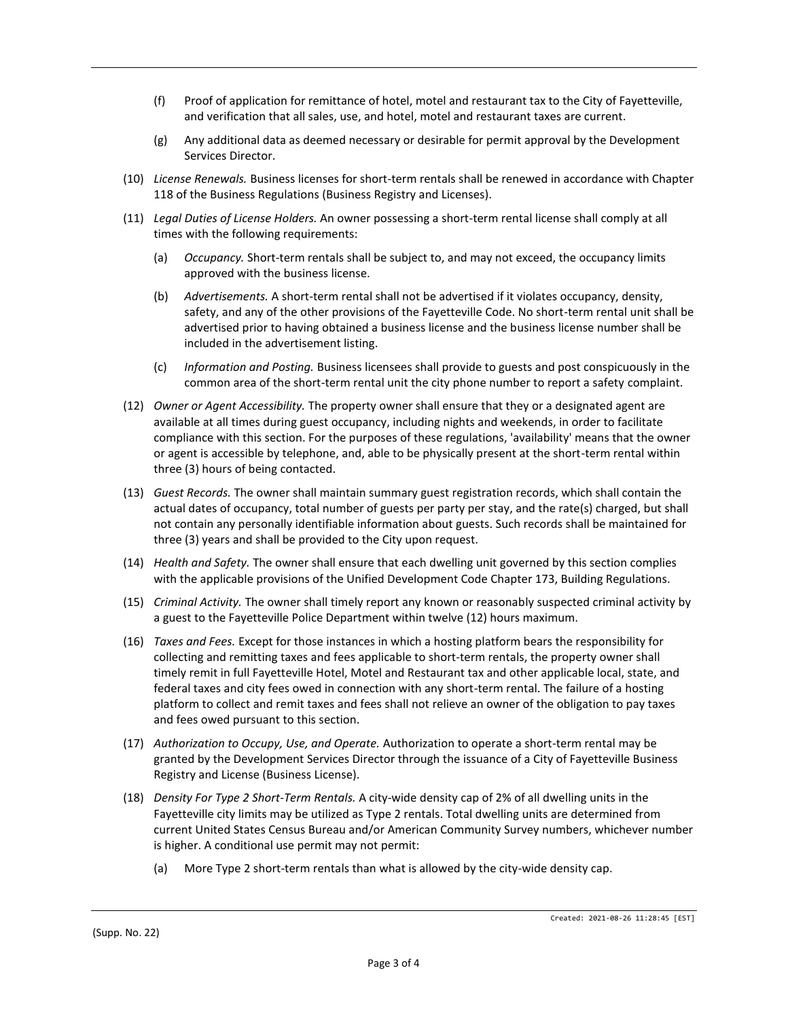- (f) Proof of application for remittance of hotel, motel and restaurant tax to the City of Fayetteville, and verification that all sales, use, and hotel, motel and restaurant taxes are current.
- (g) Any additional data as deemed necessary or desirable for permit approval by the Development Services Director.
- (10) *License Renewals.* Business licenses for short-term rentals shall be renewed in accordance with Chapter 118 of the Business Regulations (Business Registry and Licenses).
- (11) *Legal Duties of License Holders.* An owner possessing a short-term rental license shall comply at all times with the following requirements:
	- (a) *Occupancy.* Short-term rentals shall be subject to, and may not exceed, the occupancy limits approved with the business license.
	- (b) *Advertisements.* A short-term rental shall not be advertised if it violates occupancy, density, safety, and any of the other provisions of the Fayetteville Code. No short-term rental unit shall be advertised prior to having obtained a business license and the business license number shall be included in the advertisement listing.
	- (c) *Information and Posting.* Business licensees shall provide to guests and post conspicuously in the common area of the short-term rental unit the city phone number to report a safety complaint.
- (12) *Owner or Agent Accessibility.* The property owner shall ensure that they or a designated agent are available at all times during guest occupancy, including nights and weekends, in order to facilitate compliance with this section. For the purposes of these regulations, 'availability' means that the owner or agent is accessible by telephone, and, able to be physically present at the short-term rental within three (3) hours of being contacted.
- (13) *Guest Records.* The owner shall maintain summary guest registration records, which shall contain the actual dates of occupancy, total number of guests per party per stay, and the rate(s) charged, but shall not contain any personally identifiable information about guests. Such records shall be maintained for three (3) years and shall be provided to the City upon request.
- (14) *Health and Safety.* The owner shall ensure that each dwelling unit governed by this section complies with the applicable provisions of the Unified Development Code Chapter 173, Building Regulations.
- (15) *Criminal Activity.* The owner shall timely report any known or reasonably suspected criminal activity by a guest to the Fayetteville Police Department within twelve (12) hours maximum.
- (16) *Taxes and Fees.* Except for those instances in which a hosting platform bears the responsibility for collecting and remitting taxes and fees applicable to short-term rentals, the property owner shall timely remit in full Fayetteville Hotel, Motel and Restaurant tax and other applicable local, state, and federal taxes and city fees owed in connection with any short-term rental. The failure of a hosting platform to collect and remit taxes and fees shall not relieve an owner of the obligation to pay taxes and fees owed pursuant to this section.
- (17) *Authorization to Occupy, Use, and Operate.* Authorization to operate a short-term rental may be granted by the Development Services Director through the issuance of a City of Fayetteville Business Registry and License (Business License).
- (18) *Density For Type 2 Short-Term Rentals.* A city-wide density cap of 2% of all dwelling units in the Fayetteville city limits may be utilized as Type 2 rentals. Total dwelling units are determined from current United States Census Bureau and/or American Community Survey numbers, whichever number is higher. A conditional use permit may not permit:
	- (a) More Type 2 short-term rentals than what is allowed by the city-wide density cap.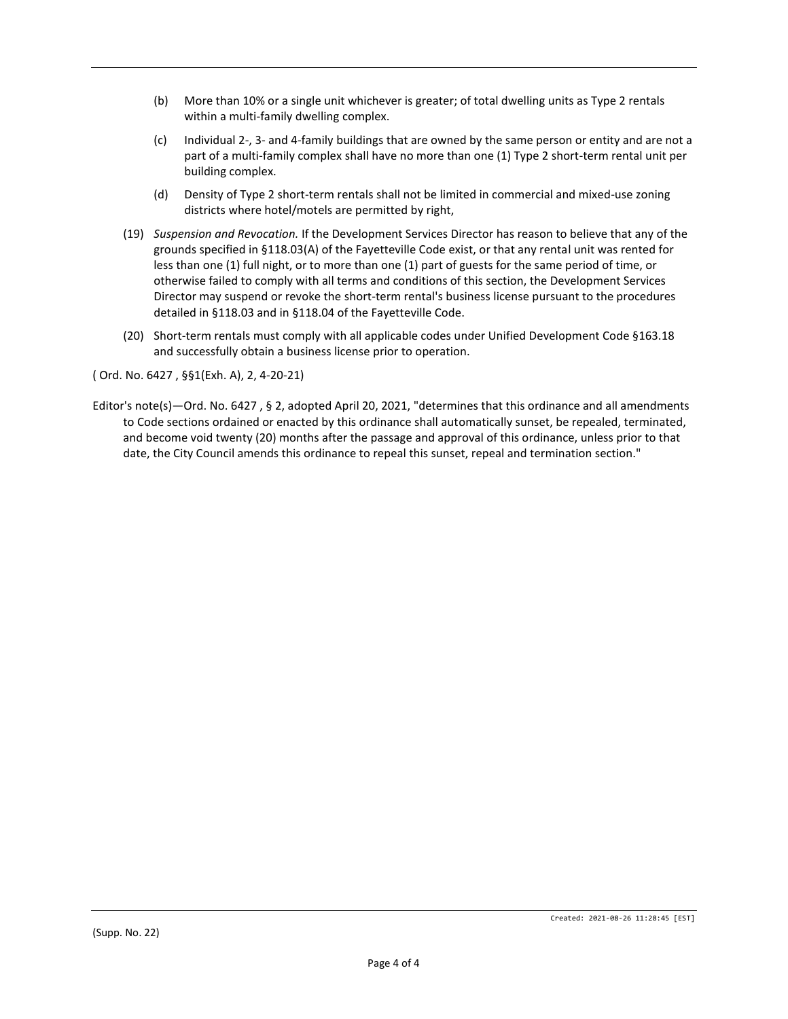- (b) More than 10% or a single unit whichever is greater; of total dwelling units as Type 2 rentals within a multi-family dwelling complex.
- (c) Individual 2-, 3- and 4-family buildings that are owned by the same person or entity and are not a part of a multi-family complex shall have no more than one (1) Type 2 short-term rental unit per building complex.
- (d) Density of Type 2 short-term rentals shall not be limited in commercial and mixed-use zoning districts where hotel/motels are permitted by right,
- (19) *Suspension and Revocation.* If the Development Services Director has reason to believe that any of the grounds specified in §118.03(A) of the Fayetteville Code exist, or that any rental unit was rented for less than one (1) full night, or to more than one (1) part of guests for the same period of time, or otherwise failed to comply with all terms and conditions of this section, the Development Services Director may suspend or revoke the short-term rental's business license pursuant to the procedures detailed in §118.03 and in §118.04 of the Fayetteville Code.
- (20) Short-term rentals must comply with all applicable codes under Unified Development Code §163.18 and successfully obtain a business license prior to operation.

( Ord. No. 6427 , §§1(Exh. A), 2, 4-20-21)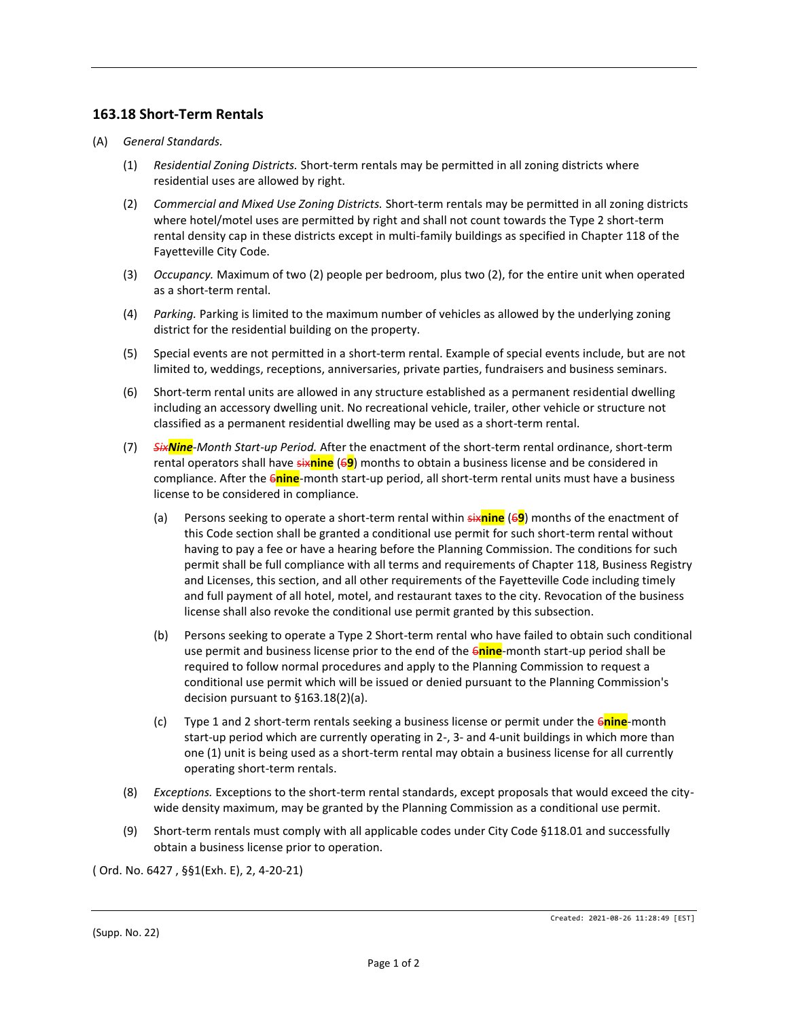### **163.18 Short-Term Rentals**

- (A) *General Standards.*
	- (1) *Residential Zoning Districts.* Short-term rentals may be permitted in all zoning districts where residential uses are allowed by right.
	- (2) *Commercial and Mixed Use Zoning Districts.* Short-term rentals may be permitted in all zoning districts where hotel/motel uses are permitted by right and shall not count towards the Type 2 short-term rental density cap in these districts except in multi-family buildings as specified in Chapter 118 of the Fayetteville City Code.
	- (3) *Occupancy.* Maximum of two (2) people per bedroom, plus two (2), for the entire unit when operated as a short-term rental.
	- (4) *Parking.* Parking is limited to the maximum number of vehicles as allowed by the underlying zoning district for the residential building on the property.
	- (5) Special events are not permitted in a short-term rental. Example of special events include, but are not limited to, weddings, receptions, anniversaries, private parties, fundraisers and business seminars.
	- (6) Short-term rental units are allowed in any structure established as a permanent residential dwelling including an accessory dwelling unit. No recreational vehicle, trailer, other vehicle or structure not classified as a permanent residential dwelling may be used as a short-term rental.
	- (7) *SixNine-Month Start-up Period.* After the enactment of the short-term rental ordinance, short-term rental operators shall have six**nine** (6**9**) months to obtain a business license and be considered in compliance. After the 6**nine**-month start-up period, all short-term rental units must have a business license to be considered in compliance.
		- (a) Persons seeking to operate a short-term rental within six**nine** (6**9**) months of the enactment of this Code section shall be granted a conditional use permit for such short-term rental without having to pay a fee or have a hearing before the Planning Commission. The conditions for such permit shall be full compliance with all terms and requirements of Chapter 118, Business Registry and Licenses, this section, and all other requirements of the Fayetteville Code including timely and full payment of all hotel, motel, and restaurant taxes to the city. Revocation of the business license shall also revoke the conditional use permit granted by this subsection.
		- (b) Persons seeking to operate a Type 2 Short-term rental who have failed to obtain such conditional use permit and business license prior to the end of the 6**nine**-month start-up period shall be required to follow normal procedures and apply to the Planning Commission to request a conditional use permit which will be issued or denied pursuant to the Planning Commission's decision pursuant to §163.18(2)(a).
		- (c) Type 1 and 2 short-term rentals seeking a business license or permit under the 6**nine**-month start-up period which are currently operating in 2-, 3- and 4-unit buildings in which more than one (1) unit is being used as a short-term rental may obtain a business license for all currently operating short-term rentals.
	- (8) *Exceptions.* Exceptions to the short-term rental standards, except proposals that would exceed the citywide density maximum, may be granted by the Planning Commission as a conditional use permit.
	- (9) Short-term rentals must comply with all applicable codes under City Code §118.01 and successfully obtain a business license prior to operation.

( Ord. No. 6427 , §§1(Exh. E), 2, 4-20-21)

<sup>(</sup>Supp. No. 22)